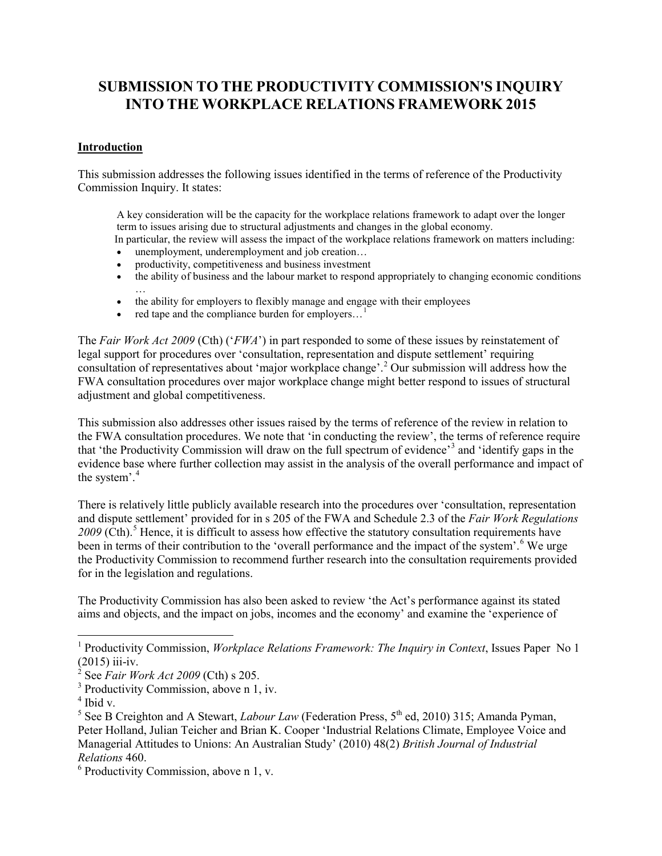# **SUBMISSION TO THE PRODUCTIVITY COMMISSION'S INQUIRY INTO THE WORKPLACE RELATIONS FRAMEWORK 2015**

## **Introduction**

This submission addresses the following issues identified in the terms of reference of the Productivity Commission Inquiry. It states:

A key consideration will be the capacity for the workplace relations framework to adapt over the longer term to issues arising due to structural adjustments and changes in the global economy.

In particular, the review will assess the impact of the workplace relations framework on matters including: unemployment, underemployment and job creation...

- productivity, competitiveness and business investment
- the ability of business and the labour market to respond appropriately to changing economic conditions
- … • the ability for employers to flexibly manage and engage with their employees
- red tape and the compliance burden for employers...<sup>[1](#page-0-0)</sup>

The *Fair Work Act 2009* (Cth) ('*FWA*') in part responded to some of these issues by reinstatement of legal support for procedures over 'consultation, representation and dispute settlement' requiring consultation of representatives about 'major workplace change'. [2](#page-0-1) Our submission will address how the FWA consultation procedures over major workplace change might better respond to issues of structural adjustment and global competitiveness.

This submission also addresses other issues raised by the terms of reference of the review in relation to the FWA consultation procedures. We note that 'in conducting the review', the terms of reference require that 'the Productivity Commission will draw on the full spectrum of evidence'[3](#page-0-2) and 'identify gaps in the evidence base where further collection may assist in the analysis of the overall performance and impact of the system'.<sup>[4](#page-0-3)</sup>

There is relatively little publicly available research into the procedures over 'consultation, representation and dispute settlement' provided for in s 205 of the FWA and Schedule 2.3 of the *Fair Work Regulations*  2009 (Cth).<sup>[5](#page-0-4)</sup> Hence, it is difficult to assess how effective the statutory consultation requirements have been in terms of their contribution to the 'overall performance and the impact of the system'.<sup>[6](#page-0-5)</sup> We urge the Productivity Commission to recommend further research into the consultation requirements provided for in the legislation and regulations.

The Productivity Commission has also been asked to review 'the Act's performance against its stated aims and objects, and the impact on jobs, incomes and the economy' and examine the 'experience of

 $\overline{\phantom{a}}$ 

<span id="page-0-0"></span><sup>1</sup> Productivity Commission, *Workplace Relations Framework: The Inquiry in Context*, Issues Paper No 1  $(2015)$  iii-iv.

<span id="page-0-1"></span><sup>2</sup> See *Fair Work Act 2009* (Cth) s 205.

<span id="page-0-2"></span> $3$  Productivity Commission, above n 1, iv.

 $4$  Ibid v.

<span id="page-0-6"></span><span id="page-0-4"></span><span id="page-0-3"></span> $5$  See B Creighton and A Stewart, *Labour Law* (Federation Press,  $5<sup>th</sup>$  ed, 2010) 315; Amanda Pyman, Peter Holland, Julian Teicher and Brian K. Cooper ['Industrial Relations Climate, Employee Voice and](http://onlinelibrary.wiley.com/doi/10.1111/j.1467-8543.2009.00772.x/full)  [Managerial Attitudes to Unions: An Australian Study'](http://onlinelibrary.wiley.com/doi/10.1111/j.1467-8543.2009.00772.x/full) (2010) 48(2) *British Journal of Industrial Relations* 460.

<span id="page-0-5"></span> $6$  Productivity Commission, above n 1, v.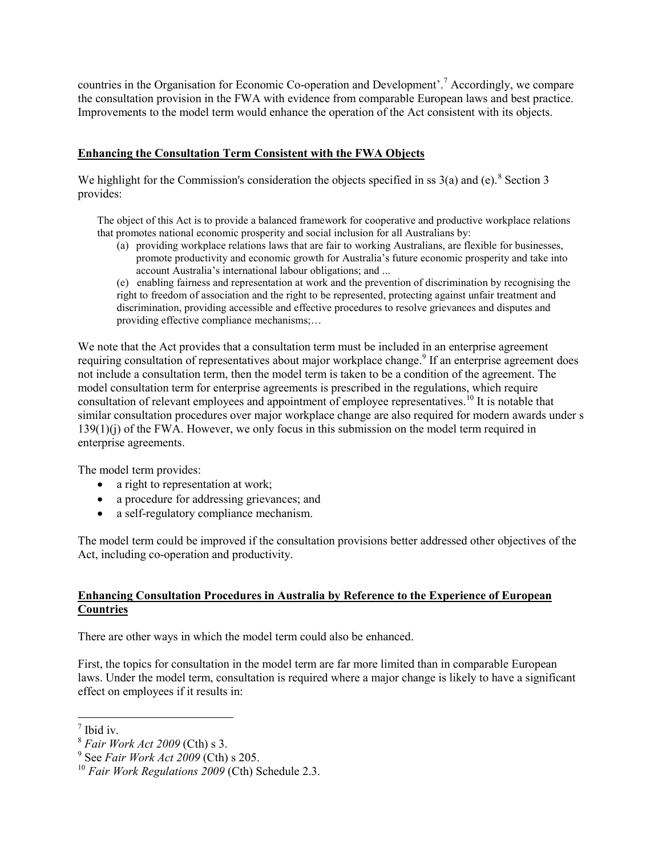countries in the Organisation for Economic Co-operation and Development'.[7](#page-0-6) Accordingly, we compare the consultation provision in the FWA with evidence from comparable European laws and best practice. Improvements to the model term would enhance the operation of the Act consistent with its objects.

#### **Enhancing the Consultation Term Consistent with the FWA Objects**

We highlight for the Commission's consideration the objects specified in ss  $3(a)$  and (e).<sup>[8](#page-1-0)</sup> Section 3 provides:

The object of this Act is to provide a balanced framework for cooperative and productive workplace relations that promotes national economic prosperity and social inclusion for all Australians by:

(a) providing workplace relations laws that are fair to working Australians, are flexible for businesses, promote productivity and economic growth for Australia's future economic prosperity and take into account Australia's international labour obligations; and ...

(e) enabling fairness and representation at work and the prevention of discrimination by recognising the right to freedom of association and the right to be represented, protecting against unfair treatment and discrimination, providing accessible and effective procedures to resolve grievances and disputes and providing effective compliance mechanisms;…

We note that the Act provides that a consultation term must be included in an enterprise agreement requiring consultation of representatives about major workplace change.<sup>[9](#page-1-1)</sup> If an enterprise agreement does not include a consultation term, then the model term is taken to be a condition of the agreement. The model consultation term for enterprise agreements is prescribed in the regulations, which require consultation of relevant employees and appointment of employee representatives.<sup>[10](#page-1-2)</sup> It is notable that similar consultation procedures over major workplace change are also required for modern awards under s 139(1)(j) of the FWA. However, we only focus in this submission on the model term required in enterprise agreements.

The model term provides:

- a right to representation at work;
- a procedure for addressing grievances; and
- a self-regulatory compliance mechanism.

The model term could be improved if the consultation provisions better addressed other objectives of the Act, including co-operation and productivity.

## **Enhancing Consultation Procedures in Australia by Reference to the Experience of European Countries**

There are other ways in which the model term could also be enhanced.

<span id="page-1-3"></span>First, the topics for consultation in the model term are far more limited than in comparable European laws. Under the model term, consultation is required where a major change is likely to have a significant effect on employees if it results in:

 $\overline{\phantom{a}}$ <sup>7</sup> Ibid iv.

<span id="page-1-0"></span><sup>8</sup> *Fair Work Act 2009* (Cth) s 3.

<span id="page-1-1"></span><sup>9</sup> See *Fair Work Act 2009* (Cth) s 205.

<span id="page-1-2"></span><sup>10</sup> *Fair Work Regulations 2009* (Cth) Schedule 2.3.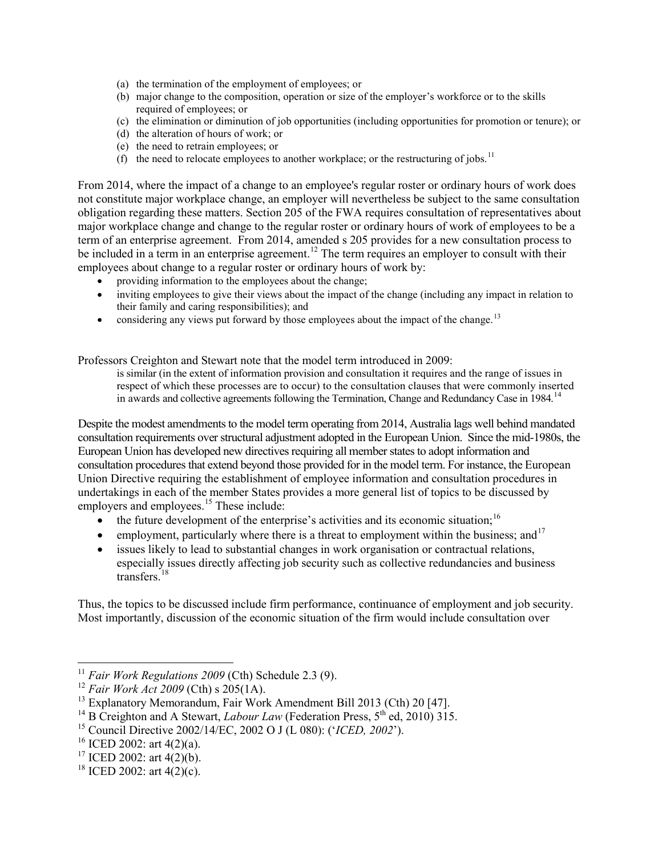- (a) the termination of the employment of employees; or
- (b) major change to the composition, operation or size of the employer's workforce or to the skills required of employees; or
- (c) the elimination or diminution of job opportunities (including opportunities for promotion or tenure); or
- (d) the alteration of hours of work; or
- (e) the need to retrain employees; or
- (f) the need to relocate employees to another workplace; or the restructuring of jobs.<sup>[11](#page-1-3)</sup>

From 2014, where the impact of a change to an employee's regular roster or ordinary hours of work does not constitute major workplace change, an employer will nevertheless be subject to the same consultation obligation regarding these matters. Section 205 of the FWA requires consultation of representatives about major workplace change and change to the regular roster or ordinary hours of work of employees to be a term of an enterprise agreement. From 2014, amended s 205 provides for a new consultation process to be included in a term in an enterprise agreement.<sup>[12](#page-2-0)</sup> The term requires an employer to consult with their employees about change to a regular roster or ordinary hours of work by:

- providing information to the employees about the change;
- inviting employees to give their views about the impact of the change (including any impact in relation to their family and caring responsibilities); and
- considering any views put forward by those employees about the impact of the change.<sup>[13](#page-2-1)</sup>

Professors Creighton and Stewart note that the model term introduced in 2009:

is similar (in the extent of information provision and consultation it requires and the range of issues in respect of which these processes are to occur) to the consultation clauses that were commonly inserted in awards and collective agreements following the Termination, Change and Redundancy Case in 1984.<sup>[14](#page-2-2)</sup>

Despite the modest amendments to the model term operating from 2014, Australia lags well behind mandated consultation requirements over structural adjustment adopted in the European Union. Since the mid-1980s, the European Union has developed new directives requiring all member states to adopt information and consultation procedures that extend beyond those provided for in the model term. For instance, the European Union Directive requiring the establishment of employee information and consultation procedures in undertakings in each of the member States provides a more general list of topics to be discussed by employers and employees.<sup>[15](#page-2-3)</sup> These include:

- $\bullet$  the future development of the enterprise's activities and its economic situation;<sup>[16](#page-2-4)</sup>
- employment, particularly where there is a threat to employment within the business; and  $17$
- issues likely to lead to substantial changes in work organisation or contractual relations, especially issues directly affecting job security such as collective redundancies and business transfers. [18](#page-2-6)

<span id="page-2-7"></span>Thus, the topics to be discussed include firm performance, continuance of employment and job security. Most importantly, discussion of the economic situation of the firm would include consultation over

l

<sup>&</sup>lt;sup>11</sup> *Fair Work Regulations 2009* (Cth) Schedule 2.3 (9).

<sup>12</sup> *Fair Work Act 2009* (Cth) s 205(1A).

<span id="page-2-1"></span><span id="page-2-0"></span><sup>&</sup>lt;sup>13</sup> Explanatory Memorandum, Fair Work Amendment Bill 2013 (Cth) 20 [47].

<span id="page-2-2"></span><sup>&</sup>lt;sup>14</sup> B Creighton and A Stewart, *Labour Law* (Federation Press,  $5^{th}$  ed, 2010) 315.

<span id="page-2-3"></span><sup>15</sup> Council Directive 2002/14/EC, 2002 O J (L 080): ('*ICED, 2002*').

<span id="page-2-4"></span><sup>&</sup>lt;sup>16</sup> ICED 2002: art 4(2)(a).

<span id="page-2-5"></span><sup>&</sup>lt;sup>17</sup> ICED 2002: art  $4(2)(b)$ .

<span id="page-2-6"></span><sup>&</sup>lt;sup>18</sup> ICED 2002: art  $4(2)(c)$ .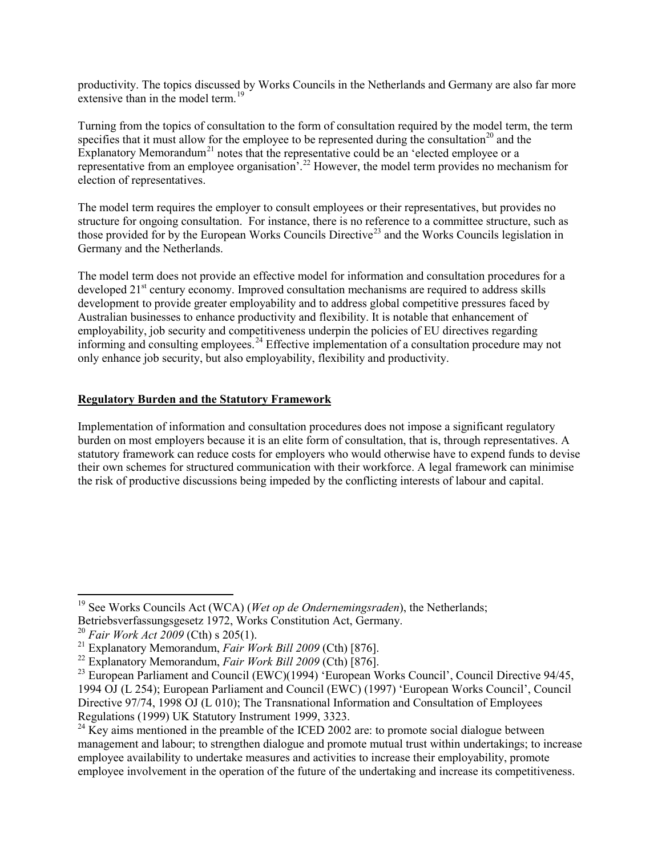productivity. The topics discussed by Works Councils in the Netherlands and Germany are also far more extensive than in the model term.<sup>[19](#page-2-7)</sup>

Turning from the topics of consultation to the form of consultation required by the model term, the term specifies that it must allow for the employee to be represented during the consultation<sup>[20](#page-3-0)</sup> and the Explanatory Memorandum<sup>[21](#page-3-1)</sup> notes that the representative could be an 'elected employee or a representative from an employee organisation<sup>'. [22](#page-3-2)</sup> However, the model term provides no mechanism for election of representatives.

The model term requires the employer to consult employees or their representatives, but provides no structure for ongoing consultation. For instance, there is no reference to a committee structure, such as those provided for by the European Works Councils Directive<sup>[23](#page-3-3)</sup> and the Works Councils legislation in Germany and the Netherlands.

The model term does not provide an effective model for information and consultation procedures for a developed  $21<sup>st</sup>$  century economy. Improved consultation mechanisms are required to address skills development to provide greater employability and to address global competitive pressures faced by Australian businesses to enhance productivity and flexibility. It is notable that enhancement of employability, job security and competitiveness underpin the policies of EU directives regarding informing and consulting employees.<sup>[24](#page-3-4)</sup> Effective implementation of a consultation procedure may not only enhance job security, but also employability, flexibility and productivity.

## **Regulatory Burden and the Statutory Framework**

<span id="page-3-5"></span>Implementation of information and consultation procedures does not impose a significant regulatory burden on most employers because it is an elite form of consultation, that is, through representatives. A statutory framework can reduce costs for employers who would otherwise have to expend funds to devise their own schemes for structured communication with their workforce. A legal framework can minimise the risk of productive discussions being impeded by the conflicting interests of labour and capital.

l <sup>19</sup> See Works Councils Act (WCA) (*Wet op de Ondernemingsraden*), the Netherlands; Betriebsverfassungsgesetz 1972, Works Constitution Act, Germany.<br><sup>20</sup> Fair Work Act 2009 (Cth) s 205(1).

<span id="page-3-3"></span>

<span id="page-3-2"></span><span id="page-3-1"></span><span id="page-3-0"></span><sup>&</sup>lt;sup>21</sup> Explanatory Memorandum, *Fair Work Bill 2009* (Cth) [876].<br><sup>22</sup> Explanatory Memorandum, *Fair Work Bill 2009* (Cth) [876].<br><sup>23</sup> European Parliament and Council (EWC)(1994) 'European Works Council', Council Directive 1994 OJ (L 254); European Parliament and Council (EWC) (1997) 'European Works Council', Council Directive 97/74, 1998 OJ (L 010); The Transnational Information and Consultation of Employees Regulations (1999) UK Statutory Instrument 1999, 3323.

<span id="page-3-4"></span> $^{24}$  Key aims mentioned in the preamble of the ICED 2002 are: to promote social dialogue between management and labour; to strengthen dialogue and promote mutual trust within undertakings; to increase employee availability to undertake measures and activities to increase their employability, promote employee involvement in the operation of the future of the undertaking and increase its competitiveness.